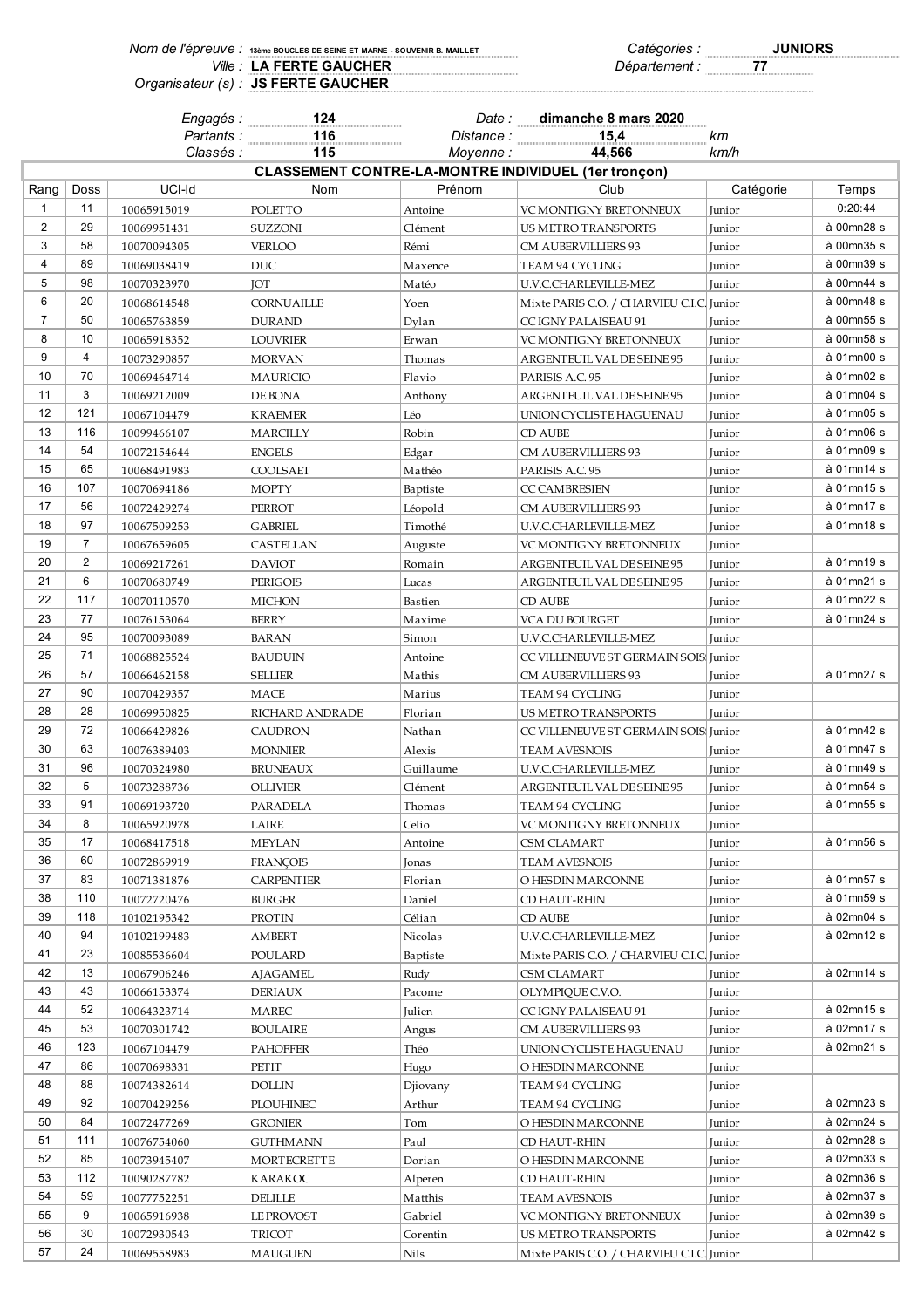| NOM de l'édieuve ; 13ème boucles de seine et marne - souvenir b. maillet | Catégories :  | <b>JUNIORS</b> |
|--------------------------------------------------------------------------|---------------|----------------|
| Ville: LA FERTE GAUCHER                                                  | Département : |                |
| Organisateur (s) : JS FERTE GAUCHER                                      |               |                |

|                |                | Engagés :                  | 124<br>.            | Date :              | dimanche 8 mars 2020                                               |                  |            |
|----------------|----------------|----------------------------|---------------------|---------------------|--------------------------------------------------------------------|------------------|------------|
|                |                | Partants :                 | 116<br>.            |                     | 15,4<br>Distance :                                                 | km               |            |
|                |                | Classés :                  | 115                 | Moyenne:            | 44,566                                                             | km/h             |            |
|                |                |                            |                     |                     | <b>CLASSEMENT CONTRE-LA-MONTRE INDIVIDUEL (1er tronçon)</b>        |                  |            |
| Rang           | Doss           | UCI-Id                     | Nom                 | Prénom              | Club                                                               | Catégorie        | Temps      |
| 1              | 11             | 10065915019                | POLETTO             | Antoine             | VC MONTIGNY BRETONNEUX                                             | Junior           | 0:20:44    |
| $\overline{2}$ | 29             | 10069951431                | SUZZONI             | Clément             | US METRO TRANSPORTS                                                | Junior           | à 00mn28 s |
| 3              | 58             | 10070094305                | <b>VERLOO</b>       | Rémi                | CM AUBERVILLIERS 93                                                | Junior           | à 00mn35 s |
| 4              | 89             | 10069038419                | DUC                 | Maxence             | TEAM 94 CYCLING                                                    | Junior           | à 00mn39 s |
| 5              | 98             | 10070323970                | <b>IOT</b>          | Matéo               | U.V.C.CHARLEVILLE-MEZ                                              | Junior           | à 00mn44 s |
| 6              | 20             | 10068614548                | CORNUAILLE          | Yoen                | Mixte PARIS C.O. / CHARVIEU C.I.C. Junior                          |                  | à 00mn48 s |
| $\overline{7}$ | 50             | 10065763859                | <b>DURAND</b>       | Dylan               | CC IGNY PALAISEAU 91                                               | Junior           | à 00mn55 s |
| 8              | 10             | 10065918352                | <b>LOUVRIER</b>     | Erwan               | VC MONTIGNY BRETONNEUX                                             | Junior           | à 00mn58 s |
| 9              | 4              | 10073290857                | <b>MORVAN</b>       | Thomas              | ARGENTEUIL VAL DE SEINE 95                                         | Junior           | à 01mn00 s |
| 10             | 70             | 10069464714                | <b>MAURICIO</b>     | Flavio              | PARISIS A.C. 95                                                    | Junior           | à 01mn02 s |
| 11             | 3              | 10069212009                | DE BONA             | Anthony             | ARGENTEUIL VAL DE SEINE 95                                         | Junior           | à 01mn04 s |
| 12             | 121            | 10067104479                | <b>KRAEMER</b>      | Léo                 | UNION CYCLISTE HAGUENAU                                            | Junior           | à 01mn05 s |
| 13             | 116            | 10099466107                | MARCILLY            | Robin               | CD AUBE                                                            | Junior           | à 01mn06 s |
| 14             | 54             | 10072154644                | <b>ENGELS</b>       | Edgar               | CM AUBERVILLIERS 93                                                | Junior           | à 01mn09 s |
| 15             | 65             | 10068491983                | COOLSAET            | Mathéo              | PARISIS A.C. 95                                                    | Junior           | à 01mn14 s |
| 16             | 107            | 10070694186                | <b>MOPTY</b>        | Baptiste            | <b>CC CAMBRESIEN</b>                                               | Junior           | à 01mn15 s |
| 17             | 56             | 10072429274                | <b>PERROT</b>       | Léopold             | <b>CM AUBERVILLIERS 93</b>                                         | Junior           | à 01mn17 s |
| 18             | 97             | 10067509253                | <b>GABRIEL</b>      | Timothé             | U.V.C.CHARLEVILLE-MEZ                                              | Junior           | à 01mn18 s |
| 19             | $\overline{7}$ | 10067659605                | CASTELLAN           | Auguste             | VC MONTIGNY BRETONNEUX                                             | Junior           |            |
| 20             | $\overline{2}$ | 10069217261                | <b>DAVIOT</b>       | Romain              | ARGENTEUIL VAL DE SEINE 95                                         | Junior           | à 01mn19 s |
| 21             | 6              | 10070680749                | <b>PERIGOIS</b>     | Lucas               | ARGENTEUIL VAL DE SEINE 95                                         | Junior           | à 01mn21 s |
| 22             | 117            | 10070110570                | <b>MICHON</b>       | Bastien             | CD AUBE                                                            | Junior           | à 01mn22 s |
| 23             | 77             | 10076153064                | <b>BERRY</b>        | Maxime              | VCA DU BOURGET                                                     | Junior           | à 01mn24 s |
| 24             | 95             | 10070093089                | <b>BARAN</b>        | Simon               | U.V.C.CHARLEVILLE-MEZ                                              | Junior           |            |
| 25             | 71             | 10068825524                | <b>BAUDUIN</b>      | Antoine             | CC VILLENEUVE ST GERMAIN SOIS Junior                               |                  |            |
| 26             | 57             | 10066462158                | <b>SELLIER</b>      | Mathis              | CM AUBERVILLIERS 93                                                | Junior           | à 01mn27 s |
| 27             | 90             | 10070429357                | MACE                | Marius              | TEAM 94 CYCLING                                                    | Junior           |            |
| 28             | 28             | 10069950825                | RICHARD ANDRADE     | Florian             | US METRO TRANSPORTS                                                | Junior           |            |
| 29             | 72             | 10066429826                | <b>CAUDRON</b>      | Nathan              | CC VILLENEUVE ST GERMAIN SOIS Junior                               |                  | à 01mn42 s |
| 30             | 63             | 10076389403                | <b>MONNIER</b>      | Alexis              | <b>TEAM AVESNOIS</b>                                               | Junior           | à 01mn47 s |
| 31<br>32       | 96<br>5        | 10070324980                | <b>BRUNEAUX</b>     | Guillaume           | U.V.C.CHARLEVILLE-MEZ                                              | Junior           | à 01mn49 s |
|                | 91             | 10073288736                | OLLIVIER            | Clément             | ARGENTEUIL VAL DE SEINE 95                                         | Junior           | à 01mn54 s |
| 33             |                | 10069193720                | <b>PARADELA</b>     | Thomas              | TEAM 94 CYCLING                                                    | Junior           | à 01mn55 s |
| 34             | 8              | 10065920978                | LAIRE               | Celio               | VC MONTIGNY BRETONNEUX                                             | Junior           | à 01mn56 s |
| 35<br>36       | 17<br>60       | 10068417518                | <b>MEYLAN</b>       | Antoine             | CSM CLAMART                                                        | Junior           |            |
| 37             | 83             | 10072869919                | <b>FRANÇOIS</b>     | Jonas               | <b>TEAM AVESNOIS</b>                                               | Junior           | à 01mn57 s |
| 38             | 110            | 10071381876                | <b>CARPENTIER</b>   | Florian             | O HESDIN MARCONNE                                                  | Junior           | à 01mn59 s |
| 39             | 118            | 10072720476<br>10102195342 | <b>BURGER</b>       | Daniel<br>Célian    | CD HAUT-RHIN<br>CD AUBE                                            | Junior           | à 02mn04 s |
| 40             | 94             |                            | PROTIN              |                     |                                                                    | Junior           | à 02mn12 s |
| 41             | 23             | 10102199483<br>10085536604 | AMBERT<br>POULARD   | Nicolas<br>Baptiste | U.V.C.CHARLEVILLE-MEZ<br>Mixte PARIS C.O. / CHARVIEU C.I.C. Junior | Junior           |            |
| 42             | 13             |                            |                     |                     | <b>CSM CLAMART</b>                                                 |                  | à 02mn14 s |
| 43             | 43             | 10067906246<br>10066153374 | AJAGAMEL<br>DERIAUX | Rudy<br>Pacome      | OLYMPIOUE C.V.O.                                                   | Junior<br>Junior |            |
| 44             | 52             | 10064323714                | MAREC               | Julien              | CC IGNY PALAISEAU 91                                               | Junior           | à 02mn15 s |
| 45             | 53             | 10070301742                | <b>BOULAIRE</b>     | Angus               | CM AUBERVILLIERS 93                                                | Junior           | à 02mn17 s |
| 46             | 123            | 10067104479                | <b>PAHOFFER</b>     | Théo                | UNION CYCLISTE HAGUENAU                                            | Junior           | à 02mn21 s |
| 47             | 86             | 10070698331                | PETIT               | Hugo                | O HESDIN MARCONNE                                                  | Junior           |            |
| 48             | 88             | 10074382614                | <b>DOLLIN</b>       | Djiovany            | TEAM 94 CYCLING                                                    | Junior           |            |
| 49             | 92             | 10070429256                | PLOUHINEC           | Arthur              | TEAM 94 CYCLING                                                    | Junior           | à 02mn23 s |
| 50             | 84             | 10072477269                | <b>GRONIER</b>      | Tom                 | O HESDIN MARCONNE                                                  | Junior           | à 02mn24 s |
| 51             | 111            | 10076754060                | GUTHMANN            | Paul                | CD HAUT-RHIN                                                       | Junior           | à 02mn28 s |
| 52             | 85             | 10073945407                | <b>MORTECRETTE</b>  | Dorian              | O HESDIN MARCONNE                                                  | Junior           | à 02mn33 s |
| 53             | 112            | 10090287782                | KARAKOC             | Alperen             | CD HAUT-RHIN                                                       | Junior           | à 02mn36 s |
| 54             | 59             | 10077752251                | <b>DELILLE</b>      | Matthis             | <b>TEAM AVESNOIS</b>                                               | Junior           | à 02mn37 s |
| 55             | 9              | 10065916938                | LE PROVOST          | Gabriel             | VC MONTIGNY BRETONNEUX                                             | Junior           | à 02mn39 s |
| 56             | 30             | 10072930543                | TRICOT              | Corentin            | US METRO TRANSPORTS                                                | Junior           | à 02mn42 s |
| 57             | 24             | 10069558983                | MAUGUEN             | Nils                | Mixte PARIS C.O. / CHARVIEU C.I.C. Junior                          |                  |            |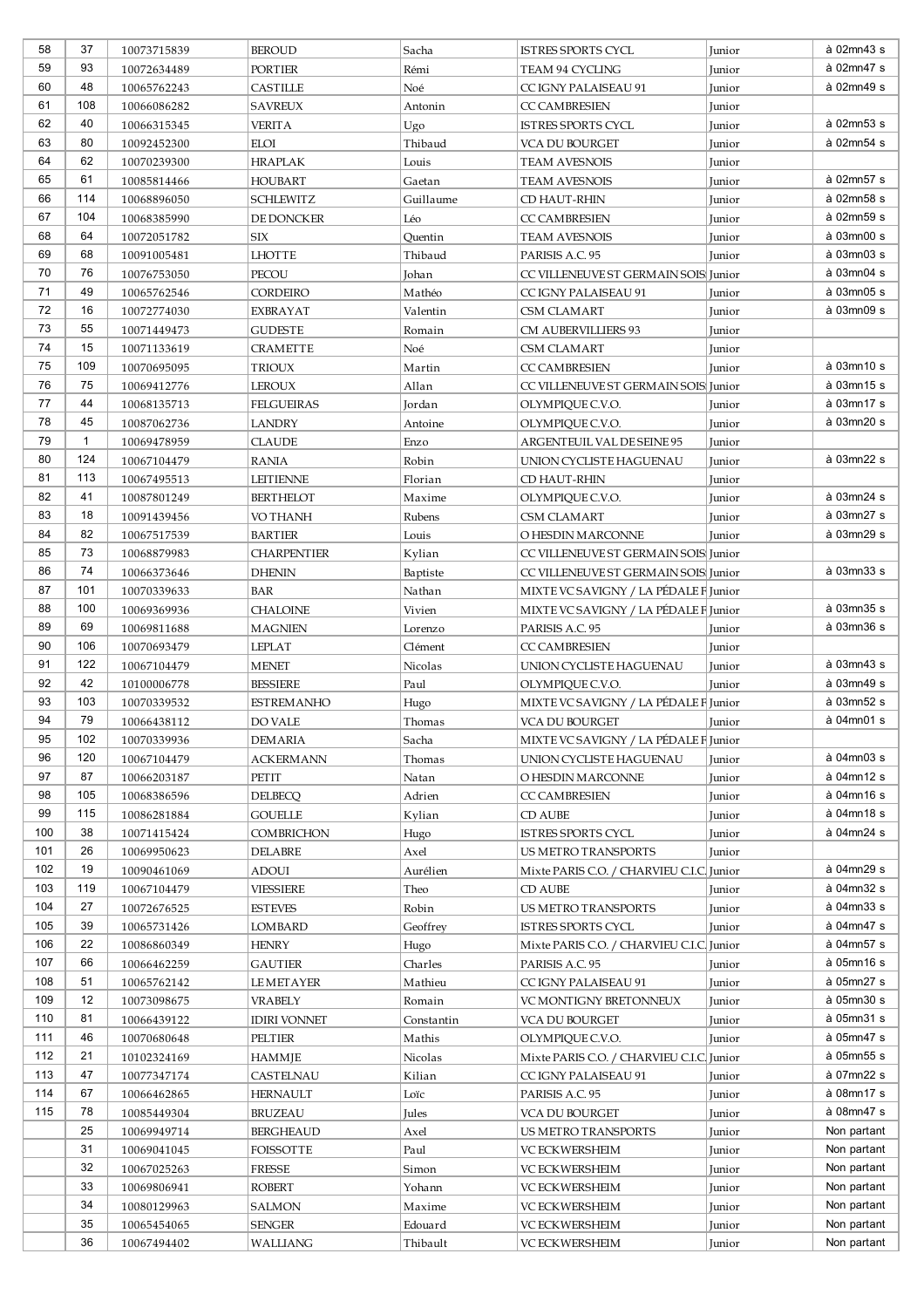| 58         | 37           | 10073715839                | <b>BEROUD</b>                      | Sacha              | ISTRES SPORTS CYCL                                              | Junior           | à 02mn43 s               |
|------------|--------------|----------------------------|------------------------------------|--------------------|-----------------------------------------------------------------|------------------|--------------------------|
| 59         | 93           | 10072634489                | <b>PORTIER</b>                     | Rémi               | TEAM 94 CYCLING                                                 | Junior           | à 02mn47 s               |
| 60         | 48           | 10065762243                | CASTILLE                           | Noé                | CC IGNY PALAISEAU 91                                            | Junior           | à 02mn49 s               |
| 61         | 108          | 10066086282                | <b>SAVREUX</b>                     | Antonin            | <b>CC CAMBRESIEN</b>                                            | Junior           |                          |
| 62         | 40           | 10066315345                | <b>VERITA</b>                      | Ugo                | <b>ISTRES SPORTS CYCL</b>                                       | Junior           | à 02mn53 s               |
| 63         | 80           | 10092452300                | <b>ELOI</b>                        | Thibaud            | VCA DU BOURGET                                                  | Junior           | à 02mn54 s               |
| 64         | 62           | 10070239300                | <b>HRAPLAK</b>                     | Louis              | <b>TEAM AVESNOIS</b>                                            | Junior           |                          |
| 65         | 61           | 10085814466                | <b>HOUBART</b>                     | Gaetan             | <b>TEAM AVESNOIS</b>                                            | Junior           | à 02mn57 s               |
| 66         | 114          | 10068896050                | <b>SCHLEWITZ</b>                   | Guillaume          | CD HAUT-RHIN                                                    | Junior           | à 02mn58 s               |
| 67         | 104          | 10068385990                | DE DONCKER                         | Léo                | <b>CC CAMBRESIEN</b>                                            | Junior           | à 02mn59 s               |
| 68         | 64           | 10072051782                | SIX                                | Quentin            | <b>TEAM AVESNOIS</b>                                            | Junior           | à 03mn00 s               |
| 69         | 68           | 10091005481                | <b>LHOTTE</b>                      | Thibaud            | PARISIS A.C. 95                                                 | Junior           | à 03mn03 s               |
| 70         | 76           | 10076753050                | PECOU                              | Johan              | CC VILLENEUVE ST GERMAIN SOIS Junior                            |                  | à 03mn04 s               |
| 71         | 49           | 10065762546                | CORDEIRO                           | Mathéo             | CC IGNY PALAISEAU 91                                            | Junior           | à 03mn05 s               |
| 72         | 16           | 10072774030                | EXBRAYAT                           | Valentin           | CSM CLAMART                                                     | Junior           | à 03mn09 s               |
| 73         | 55           | 10071449473                | <b>GUDESTE</b>                     | Romain             | CM AUBERVILLIERS 93                                             | Junior           |                          |
| 74         | 15           | 10071133619                | <b>CRAMETTE</b>                    | Noé                | <b>CSM CLAMART</b>                                              | Junior           |                          |
| 75         | 109          | 10070695095                | <b>TRIOUX</b>                      | Martin             | <b>CC CAMBRESIEN</b>                                            | Junior           | à 03mn10 s               |
| 76         | 75           | 10069412776                | LEROUX                             | Allan              | CC VILLENEUVE ST GERMAIN SOIS Junior                            |                  | à 03mn15 s               |
| 77         | 44           | 10068135713                | <b>FELGUEIRAS</b>                  | Jordan             | OLYMPIQUE C.V.O.                                                | Junior           | à 03mn17 s               |
| 78         | 45           | 10087062736                | <b>LANDRY</b>                      | Antoine            | OLYMPIQUE C.V.O.                                                | Junior           | à 03mn20 s               |
| 79         | $\mathbf{1}$ | 10069478959                | <b>CLAUDE</b>                      | Enzo               | ARGENTEUIL VAL DE SEINE 95                                      | Junior           |                          |
| 80         | 124          | 10067104479                | RANIA                              | Robin              | UNION CYCLISTE HAGUENAU                                         | Junior           | à 03mn22 s               |
| 81         | 113          | 10067495513                | <b>LEITIENNE</b>                   | Florian            | CD HAUT-RHIN                                                    | Junior           |                          |
| 82         | 41           | 10087801249                | <b>BERTHELOT</b>                   | Maxime             | OLYMPIQUE C.V.O.                                                | Junior           | à 03mn24 s               |
| 83         | 18           | 10091439456                | VO THANH                           | Rubens             | <b>CSM CLAMART</b>                                              | Junior           | à 03mn27 s               |
| 84         | 82           | 10067517539                | <b>BARTIER</b>                     | Louis              | O HESDIN MARCONNE                                               | Junior           | à 03mn29 s               |
| 85         | 73           | 10068879983                | <b>CHARPENTIER</b>                 | Kylian             | CC VILLENEUVE ST GERMAIN SOIS Junior                            |                  |                          |
| 86         | 74           | 10066373646                | <b>DHENIN</b>                      | Baptiste           | CC VILLENEUVE ST GERMAIN SOIS Junior                            |                  | à 03mn33 s               |
| 87         | 101          | 10070339633                | BAR                                | Nathan             | MIXTE VC SAVIGNY / LA PÉDALE F Junior                           |                  |                          |
| 88         | 100          | 10069369936                | <b>CHALOINE</b>                    | Vivien             | MIXTE VC SAVIGNY / LA PÉDALE F Junior                           |                  | à 03mn35 s               |
| 89         | 69           | 10069811688                | <b>MAGNIEN</b>                     | Lorenzo            | PARISIS A.C. 95                                                 | Junior           | à 03mn36 s               |
| 90         | 106          | 10070693479                | LEPLAT                             | Clément            | <b>CC CAMBRESIEN</b>                                            | Junior           |                          |
| 91         | 122          | 10067104479                | <b>MENET</b>                       | Nicolas            | UNION CYCLISTE HAGUENAU                                         | Junior           | à 03mn43 s               |
| 92         | 42           | 10100006778                | <b>BESSIERE</b>                    | Paul               | OLYMPIQUE C.V.O.                                                | Junior           | à 03mn49 s               |
| 93         | 103          | 10070339532                | <b>ESTREMANHO</b>                  | Hugo               | MIXTE VC SAVIGNY / LA PÉDALE F Junior                           |                  | à 03mn52 s               |
| 94         | 79           | 10066438112                | DO VALE                            | Thomas             | VCA DU BOURGET                                                  | Junior           | à 04mn01 s               |
| 95         | 102          | 10070339936                | <b>DEMARIA</b>                     | Sacha              | MIXTE VCSAVIGNY / LA PÉDALE FJunior                             |                  |                          |
| 96         | 120          | 10067104479                | ACKERMANN                          | Thomas             | UNION CYCLISTE HAGUENAU                                         | Junior           | à 04mn03 s               |
| 97         | 87           | 10066203187                | PETIT                              | Natan              | O HESDIN MARCONNE                                               | Junior           | à 04mn12 s               |
| 98         | 105          | 10068386596                | <b>DELBECQ</b>                     | Adrien             | <b>CC CAMBRESIEN</b>                                            | Junior           | à 04mn16 s               |
| 99         | 115          | 10086281884                | <b>GOUELLE</b>                     | Kylian             | CD AUBE                                                         | Junior           | à 04mn18 s               |
| 100        | 38           | 10071415424                | <b>COMBRICHON</b>                  | Hugo               | ISTRES SPORTS CYCL                                              | Junior           | à 04mn24 s               |
| 101        | 26           | 10069950623                | <b>DELABRE</b>                     | Axel               | <b>US METRO TRANSPORTS</b>                                      | Junior           |                          |
| 102<br>103 | 19<br>119    | 10090461069                | <b>ADOUI</b>                       | Aurélien           | Mixte PARIS C.O. / CHARVIEU C.I.C. Junior                       |                  | à 04mn29 s<br>à 04mn32 s |
| 104        | 27           | 10067104479                | <b>VIESSIERE</b>                   | Theo               | CD AUBE                                                         | Junior           | à 04mn33 s               |
| 105        | 39           | 10072676525                | <b>ESTEVES</b>                     | Robin              | <b>US METRO TRANSPORTS</b>                                      | Junior           | à 04mn47 s               |
| 106        | 22           | 10065731426<br>10086860349 | LOMBARD<br><b>HENRY</b>            | Geoffrey<br>Hugo   | ISTRES SPORTS CYCL<br>Mixte PARIS C.O. / CHARVIEU C.I.C. Junior | Junior           | à 04mn57 s               |
| 107        | 66           |                            |                                    |                    |                                                                 |                  | à 05mn16 s               |
| 108        | 51           | 10066462259<br>10065762142 | <b>GAUTIER</b><br><b>LEMETAYER</b> | Charles<br>Mathieu | PARISIS A.C. 95<br>CC IGNY PALAISEAU 91                         | Junior<br>Junior | à 05mn27 s               |
| 109        | 12           | 10073098675                | VRABELY                            | Romain             | VC MONTIGNY BRETONNEUX                                          | Junior           | à 05mn30 s               |
| 110        | 81           | 10066439122                | <b>IDIRI VONNET</b>                | Constantin         | VCA DU BOURGET                                                  |                  | à 05mn31 s               |
| 111        | 46           | 10070680648                | PELTIER                            | Mathis             | OLYMPIQUE C.V.O.                                                | Junior<br>Junior | à 05mn47 s               |
| 112        | 21           | 10102324169                | HAMMJE                             | Nicolas            | Mixte PARIS C.O. / CHARVIEU C.I.C. Junior                       |                  | à 05mn55 s               |
| 113        | 47           | 10077347174                | CASTELNAU                          | Kilian             | CC IGNY PALAISEAU 91                                            | Junior           | à 07mn22 s               |
| 114        | 67           | 10066462865                | <b>HERNAULT</b>                    | Loïc               | PARISIS A.C. 95                                                 | Junior           | à 08mn17 s               |
| 115        | 78           | 10085449304                | BRUZEAU                            | Jules              | VCA DU BOURGET                                                  | Junior           | à 08mn47 s               |
|            | 25           | 10069949714                | <b>BERGHEAUD</b>                   | Axel               | US METRO TRANSPORTS                                             | Junior           | Non partant              |
|            | 31           | 10069041045                | FOISSOTTE                          | Paul               | <b>VC ECKWERSHEIM</b>                                           | Junior           | Non partant              |
|            | 32           | 10067025263                | <b>FRESSE</b>                      | Simon              | <b>VC ECKWERSHEIM</b>                                           | Junior           | Non partant              |
|            | 33           | 10069806941                | <b>ROBERT</b>                      | Yohann             | <b>VC ECKWERSHEIM</b>                                           | Junior           | Non partant              |
|            | 34           | 10080129963                | SALMON                             | Maxime             | VC ECKWERSHEIM                                                  | Junior           | Non partant              |
|            | 35           | 10065454065                | <b>SENGER</b>                      | Edouard            | <b>VC ECKWERSHEIM</b>                                           | Junior           | Non partant              |
|            | 36           | 10067494402                | WALLIANG                           | Thibault           | VC ECKWERSHEIM                                                  | Junior           | Non partant              |
|            |              |                            |                                    |                    |                                                                 |                  |                          |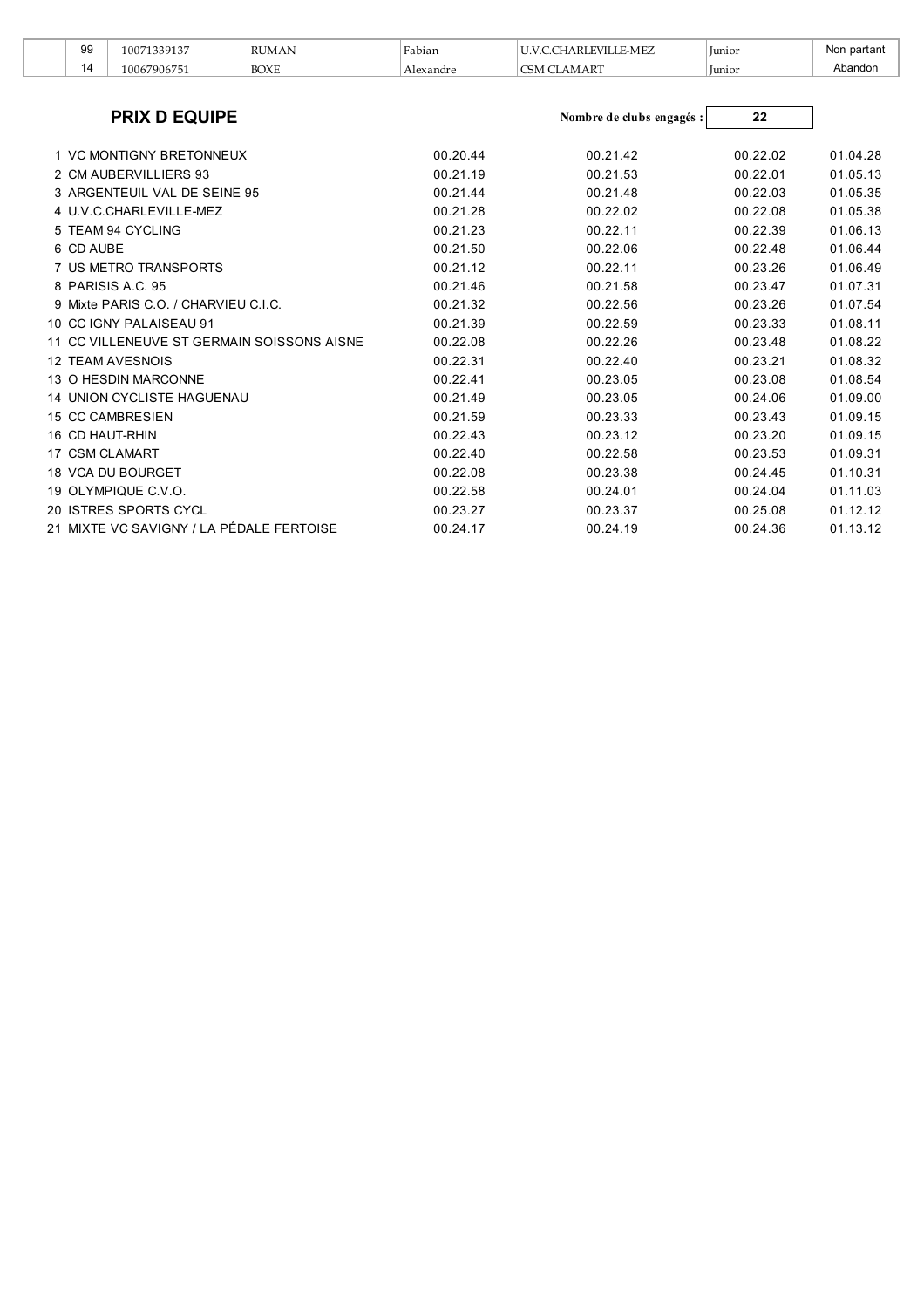| 99 | 339135<br>1007  | DI IN.<br>JMA | Fabian    | E-MEZ              | lunior | ∵ partan⊾<br>Nor |
|----|-----------------|---------------|-----------|--------------------|--------|------------------|
| ΙZ | 790675<br>.0067 | <b>BOXE</b>   | Alexandre | T<br>AK.<br>اللاهب | unior  | bandor.          |

| <b>PRIX D EQUIPE</b>                       |          | Nombre de clubs engagés : | 22       |          |
|--------------------------------------------|----------|---------------------------|----------|----------|
| 1 VC MONTIGNY BRETONNEUX                   | 00.20.44 | 00.21.42                  | 00.22.02 | 01.04.28 |
| 2 CM AUBERVILLIERS 93                      | 00.21.19 | 00.21.53                  | 00.22.01 | 01.05.13 |
| 3 ARGENTEUIL VAL DE SEINE 95               | 00.21.44 | 00.21.48                  | 00.22.03 | 01.05.35 |
| 4 U.V.C.CHARLEVILLE-MEZ                    | 00.21.28 | 00.22.02                  | 00.22.08 | 01.05.38 |
| 5 TEAM 94 CYCLING                          | 00.21.23 | 00.22.11                  | 00.22.39 | 01.06.13 |
| 6 CD AUBE                                  | 00.21.50 | 00.22.06                  | 00.22.48 | 01.06.44 |
| 7 US METRO TRANSPORTS                      | 00.21.12 | 00.22.11                  | 00.23.26 | 01.06.49 |
| 8 PARISIS A.C. 95                          | 00.21.46 | 00.21.58                  | 00.23.47 | 01.07.31 |
| 9 Mixte PARIS C.O. / CHARVIEU C.I.C.       | 00.21.32 | 00.22.56                  | 00.23.26 | 01.07.54 |
| 10 CC IGNY PALAISEAU 91                    | 00.21.39 | 00.22.59                  | 00.23.33 | 01.08.11 |
| 11 CC VILLENEUVE ST GERMAIN SOISSONS AISNE | 00.22.08 | 00.22.26                  | 00.23.48 | 01.08.22 |
| <b>12 TEAM AVESNOIS</b>                    | 00.22.31 | 00.22.40                  | 00.23.21 | 01.08.32 |
| 13 O HESDIN MARCONNE                       | 00.22.41 | 00.23.05                  | 00.23.08 | 01.08.54 |
| <b>14 UNION CYCLISTE HAGUENAU</b>          | 00.21.49 | 00.23.05                  | 00.24.06 | 01.09.00 |
| <b>15 CC CAMBRESIEN</b>                    | 00.21.59 | 00.23.33                  | 00.23.43 | 01.09.15 |
| 16 CD HAUT-RHIN                            | 00.22.43 | 00.23.12                  | 00.23.20 | 01.09.15 |
| 17 CSM CLAMART                             | 00.22.40 | 00.22.58                  | 00.23.53 | 01.09.31 |
| 18 VCA DU BOURGET                          | 00.22.08 | 00.23.38                  | 00.24.45 | 01.10.31 |
| 19 OLYMPIQUE C.V.O.                        | 00.22.58 | 00.24.01                  | 00.24.04 | 01.11.03 |
| 20 ISTRES SPORTS CYCL                      | 00.23.27 | 00.23.37                  | 00.25.08 | 01.12.12 |
| 21 MIXTE VC SAVIGNY / LA PÉDALE FERTOISE   | 00.24.17 | 00.24.19                  | 00.24.36 | 01.13.12 |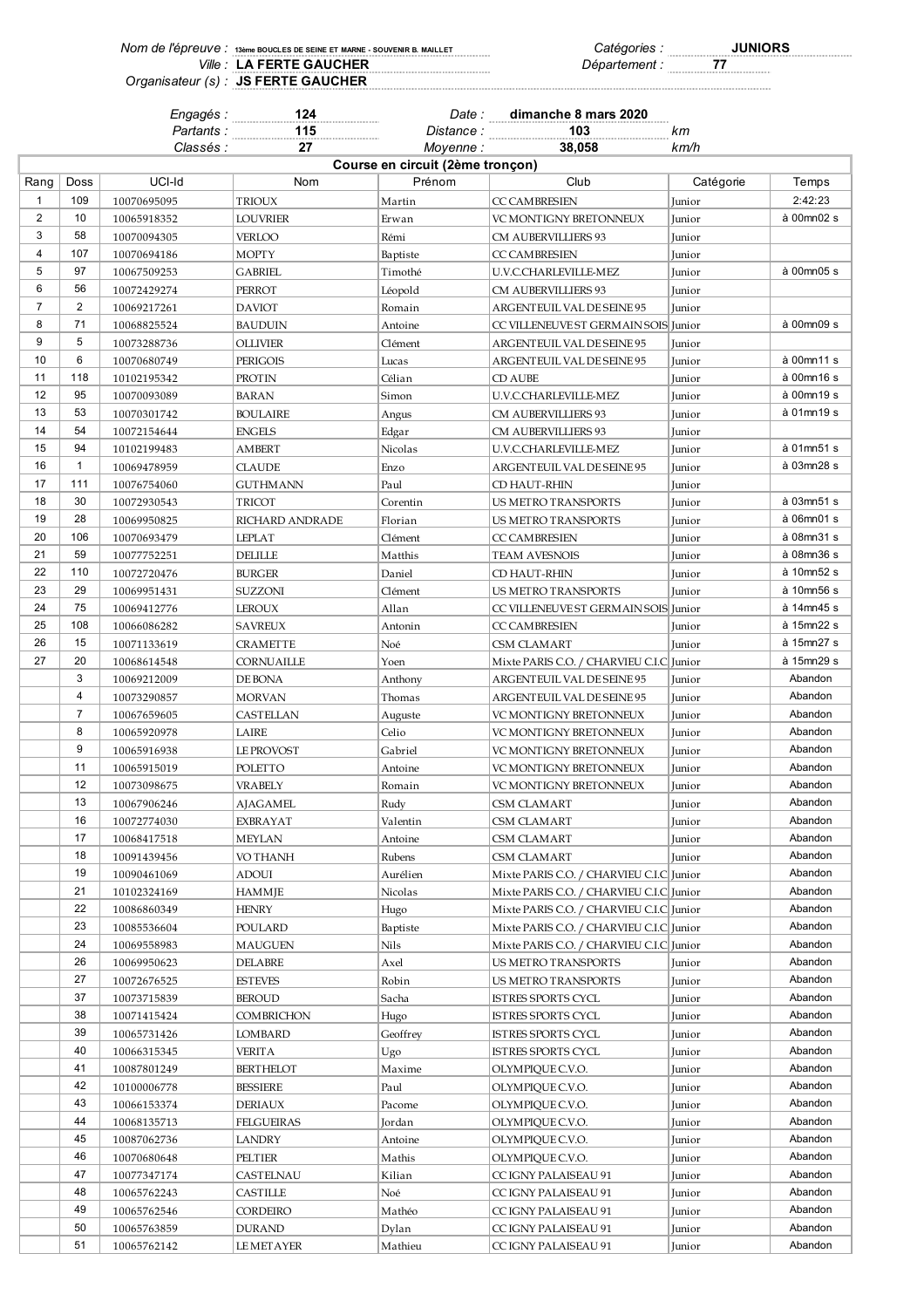| Nom de l'épreuve : 13ème BOUCLES DE SEINE ET MARNE - SOUVENIR B. MAILLET | Catégories.   | <b>JUNIORS</b> |
|--------------------------------------------------------------------------|---------------|----------------|
| Ville: LA FERTE GAUCHER                                                  | Département : |                |
| Organisateur (s) : JS FERTE GAUCHER                                      |               |                |

|                |                | Engagés :          | 124               | Date:                            | dimanche 8 mars 2020                     |           |            |
|----------------|----------------|--------------------|-------------------|----------------------------------|------------------------------------------|-----------|------------|
|                |                | Partants : <i></i> | 115               | Distance : <b>Markelle</b>       | 103                                      | km        |            |
|                |                | Classés :          | 27                | Moyenne :                        | 38.058                                   | km/h      |            |
|                |                |                    |                   | Course en circuit (2ème tronçon) |                                          |           |            |
| Rang           | Doss           | UCI-Id             | Nom               | Prénom                           | Club                                     | Catégorie | Temps      |
| $\mathbf{1}$   | 109            | 10070695095        | <b>TRIOUX</b>     | Martin                           | <b>CC CAMBRESIEN</b>                     | Junior    | 2:42:23    |
| 2              | 10             | 10065918352        | <b>LOUVRIER</b>   | Erwan                            | VC MONTIGNY BRETONNEUX                   | Junior    | à 00mn02 s |
| 3              | 58             | 10070094305        | <b>VERLOO</b>     | Rémi                             | CM AUBERVILLIERS 93                      | Junior    |            |
| 4              | 107            | 10070694186        | <b>MOPTY</b>      | Baptiste                         | <b>CC CAMBRESIEN</b>                     | Junior    |            |
| 5              | 97             | 10067509253        | <b>GABRIEL</b>    | Timothé                          | U.V.C.CHARLEVILLE-MEZ                    | Junior    | à 00mn05 s |
| 6              | 56             | 10072429274        | PERROT            | Léopold                          | CM AUBERVILLIERS 93                      | Junior    |            |
| $\overline{7}$ | $\overline{2}$ | 10069217261        | <b>DAVIOT</b>     | Romain                           | ARGENTEUIL VAL DE SEINE 95               | Junior    |            |
| 8              | 71             | 10068825524        | <b>BAUDUIN</b>    | Antoine                          | CC VILLENEUVE ST GERMAIN SOIS Junior     |           | à 00mn09 s |
| 9              | 5              | 10073288736        | <b>OLLIVIER</b>   | Clément                          | ARGENTEUIL VAL DE SEINE 95               | Junior    |            |
| 10             | 6              | 10070680749        | <b>PERIGOIS</b>   | Lucas                            | ARGENTEUIL VAL DE SEINE 95               | Junior    | à 00mn11 s |
| 11             | 118            | 10102195342        | <b>PROTIN</b>     | Célian                           | <b>CD AUBE</b>                           | Junior    | à 00mn16 s |
| 12             | 95             | 10070093089        | <b>BARAN</b>      | Simon                            | U.V.C.CHARLEVILLE-MEZ                    | Junior    | à 00mn19 s |
| 13             | 53             | 10070301742        | <b>BOULAIRE</b>   | Angus                            | CM AUBERVILLIERS 93                      | Junior    | à 01mn19 s |
| 14             | 54             |                    |                   |                                  |                                          | Junior    |            |
| 15             | 94             | 10072154644        | <b>ENGELS</b>     | Edgar                            | CM AUBERVILLIERS 93                      |           | à 01mn51 s |
| 16             | $\mathbf{1}$   | 10102199483        | <b>AMBERT</b>     | Nicolas                          | U.V.C.CHARLEVILLE-MEZ                    | Junior    | à 03mn28 s |
|                |                | 10069478959        | <b>CLAUDE</b>     | Enzo                             | ARGENTEUIL VAL DE SEINE 95               | Junior    |            |
| 17             | 111            | 10076754060        | <b>GUTHMANN</b>   | Paul                             | CD HAUT-RHIN                             | Junior    |            |
| 18             | 30             | 10072930543        | <b>TRICOT</b>     | Corentin                         | <b>US METRO TRANSPORTS</b>               | Junior    | à 03mn51 s |
| 19             | 28             | 10069950825        | RICHARD ANDRADE   | Florian                          | US METRO TRANSPORTS                      | Junior    | à 06mn01 s |
| 20             | 106            | 10070693479        | <b>LEPLAT</b>     | Clément                          | <b>CC CAMBRESIEN</b>                     | Junior    | à 08mn31 s |
| 21             | 59             | 10077752251        | <b>DELILLE</b>    | Matthis                          | TEAM AVESNOIS                            | Junior    | à 08mn36 s |
| 22             | 110            | 10072720476        | <b>BURGER</b>     | Daniel                           | CD HAUT-RHIN                             | Junior    | à 10mn52 s |
| 23             | 29             | 10069951431        | SUZZONI           | Clément                          | US METRO TRANSPORTS                      | Junior    | à 10mn56 s |
| 24             | 75             | 10069412776        | LEROUX            | Allan                            | CC VILLENEUVE ST GERMAIN SOIS            | Junior    | à 14mn45 s |
| 25             | 108            | 10066086282        | <b>SAVREUX</b>    | Antonin                          | <b>CC CAMBRESIEN</b>                     | Junior    | à 15mn22 s |
| 26             | 15             | 10071133619        | <b>CRAMETTE</b>   | Noé                              | CSM CLAMART                              | Junior    | à 15mn27 s |
| 27             | 20             | 10068614548        | CORNUAILLE        | Yoen                             | Mixte PARIS C.O. / CHARVIEU C.I.C Junior |           | à 15mn29 s |
|                | 3              | 10069212009        | DE BONA           | Anthony                          | ARGENTEUIL VAL DE SEINE 95               | Junior    | Abandon    |
|                | 4              | 10073290857        | <b>MORVAN</b>     | Thomas                           | ARGENTEUIL VAL DE SEINE 95               | Junior    | Abandon    |
|                | $\overline{7}$ | 10067659605        | CASTELLAN         | Auguste                          | VC MONTIGNY BRETONNEUX                   | Junior    | Abandon    |
|                | 8              | 10065920978        | LAIRE             | Celio                            | VC MONTIGNY BRETONNEUX                   | Junior    | Abandon    |
|                | 9              | 10065916938        | LE PROVOST        | Gabriel                          | VC MONTIGNY BRETONNEUX                   | Junior    | Abandon    |
|                | 11             | 10065915019        | POLETTO           | Antoine                          | VC MONTIGNY BRETONNEUX                   | Junior    | Abandon    |
|                | 12             | 10073098675        | <b>VRABELY</b>    | Romain                           | VC MONTIGNY BRETONNEUX                   | Junior    | Abandon    |
|                | 13             | 10067906246        | <b>AJAGAMEL</b>   | Rudy                             | CSM CLAMART                              | Junior    | Abandon    |
|                | 16             | 10072774030        | EXBRAYAT          | Valentin                         | CSM CLAMART                              | Junior    | Abandon    |
|                | 17             | 10068417518        | <b>MEYLAN</b>     | Antoine                          | <b>CSM CLAMART</b>                       | Junior    | Abandon    |
|                | 18             | 10091439456        | VO THANH          | Rubens                           | <b>CSM CLAMART</b>                       | Junior    | Abandon    |
|                | 19             | 10090461069        | ADOUI             | Aurélien                         | Mixte PARIS C.O. / CHARVIEU C.I.C Junior |           | Abandon    |
|                | 21             | 10102324169        | <b>HAMMJE</b>     | Nicolas                          | Mixte PARIS C.O. / CHARVIEU C.I.C Junior |           | Abandon    |
|                | 22             | 10086860349        | <b>HENRY</b>      | Hugo                             | Mixte PARIS C.O. / CHARVIEU C.I.C Junior |           | Abandon    |
|                | 23             | 10085536604        | POULARD           | Baptiste                         | Mixte PARIS C.O. / CHARVIEU C.I.C Junior |           | Abandon    |
|                | 24             | 10069558983        | MAUGUEN           | Nils                             | Mixte PARIS C.O. / CHARVIEU C.I.C Junior |           | Abandon    |
|                | 26             | 10069950623        | <b>DELABRE</b>    | Axel                             | US METRO TRANSPORTS                      | Junior    | Abandon    |
|                | 27             | 10072676525        | <b>ESTEVES</b>    | Robin                            | US METRO TRANSPORTS                      | Junior    | Abandon    |
|                | 37             | 10073715839        | <b>BEROUD</b>     | Sacha                            | ISTRES SPORTS CYCL                       | Junior    | Abandon    |
|                | 38             | 10071415424        | <b>COMBRICHON</b> | Hugo                             | ISTRES SPORTS CYCL                       | Junior    | Abandon    |
|                | 39             | 10065731426        | <b>LOMBARD</b>    | Geoffrey                         | ISTRES SPORTS CYCL                       | Junior    | Abandon    |
|                | 40             | 10066315345        | <b>VERITA</b>     | Ugo                              | ISTRES SPORTS CYCL                       | Junior    | Abandon    |
|                | 41             | 10087801249        | <b>BERTHELOT</b>  | Maxime                           | OLYMPIQUE C.V.O.                         | Junior    | Abandon    |
|                | 42             | 10100006778        | <b>BESSIERE</b>   |                                  | OLYMPIQUE C.V.O.                         |           | Abandon    |
|                | 43             |                    |                   | Paul                             |                                          | Junior    | Abandon    |
|                | 44             | 10066153374        | <b>DERIAUX</b>    | Pacome                           | OLYMPIQUE C.V.O.                         | Junior    | Abandon    |
|                | 45             | 10068135713        | FELGUEIRAS        | Jordan                           | OLYMPIQUE C.V.O.                         | Junior    | Abandon    |
|                |                | 10087062736        | LANDRY            | Antoine                          | OLYMPIQUE C.V.O.                         | Junior    |            |
|                | 46             | 10070680648        | PELTIER           | Mathis                           | OLYMPIQUE C.V.O.                         | Junior    | Abandon    |
|                | 47             | 10077347174        | CASTELNAU         | Kilian                           | CC IGNY PALAISEAU 91                     | Junior    | Abandon    |
|                | 48             | 10065762243        | CASTILLE          | Noé                              | CC IGNY PALAISEAU 91                     | Junior    | Abandon    |

 10065762546 CORDEIRO Mathéo CC IGNY PALAISEAU 91 Junior Abandon 10065763859 DURAND Dylan CC IGNY PALAISEAU 91 Junior Abandon 51 10065762142 LEMETAYER Mathieu CC IGNY PALAISEAU 91 Junior Abandon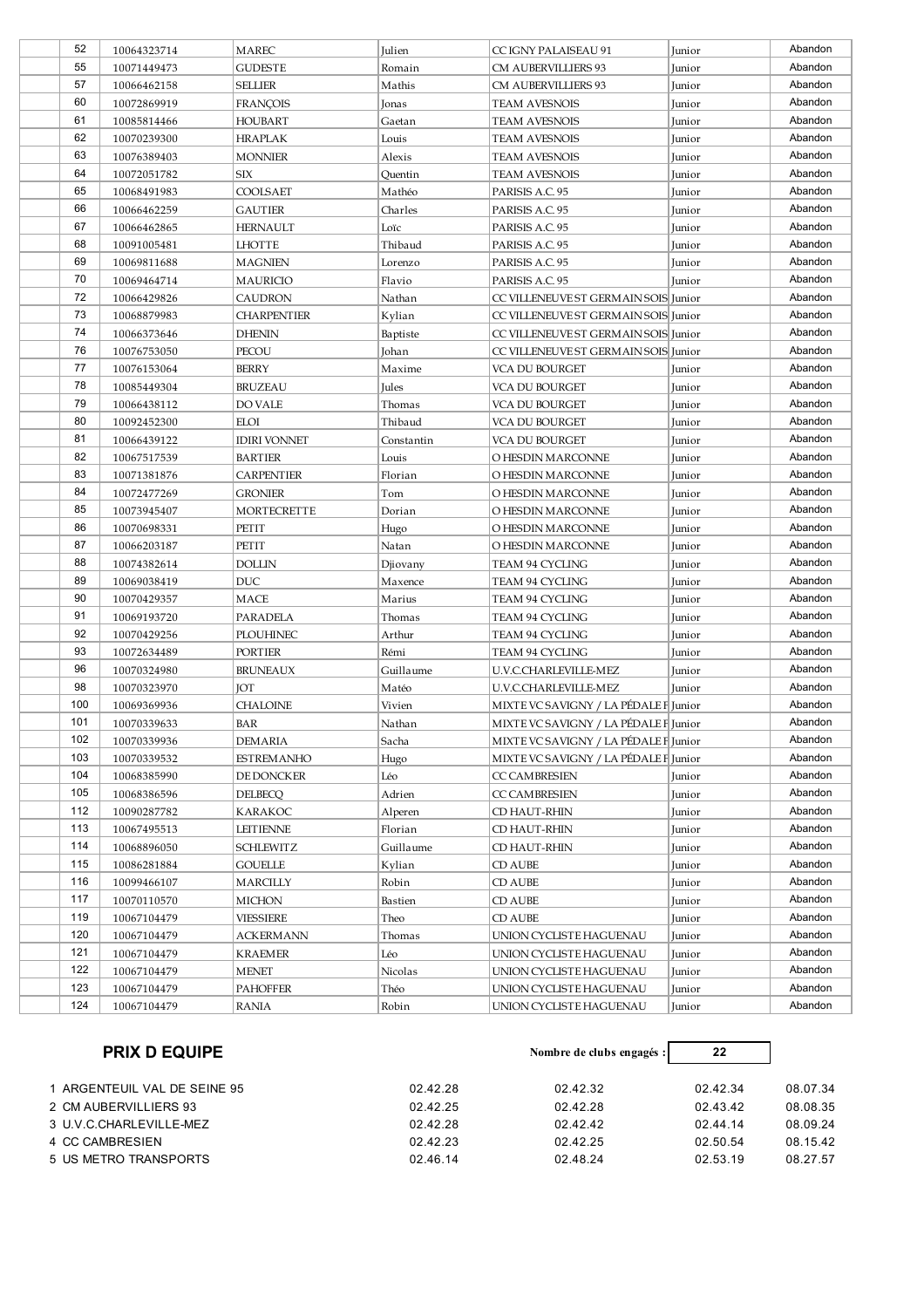| 52  | 10064323714 | <b>MAREC</b>        | Julien         | CC IGNY PALAISEAU 91                  | Junior | Abandon |
|-----|-------------|---------------------|----------------|---------------------------------------|--------|---------|
| 55  | 10071449473 | GUDESTE             | Romain         | CM AUBERVILLIERS 93                   | Junior | Abandon |
| 57  | 10066462158 | <b>SELLIER</b>      | Mathis         | CM AUBERVILLIERS 93                   | Junior | Abandon |
| 60  | 10072869919 | <b>FRANÇOIS</b>     | Jonas          | <b>TEAM AVESNOIS</b>                  | Junior | Abandon |
| 61  | 10085814466 | HOUBART             | Gaetan         | <b>TEAM AVESNOIS</b>                  | Junior | Abandon |
| 62  | 10070239300 | <b>HRAPLAK</b>      | Louis          | <b>TEAM AVESNOIS</b>                  | Junior | Abandon |
| 63  | 10076389403 | <b>MONNIER</b>      | Alexis         | <b>TEAM AVESNOIS</b>                  | Junior | Abandon |
| 64  | 10072051782 | SIX                 | Quentin        | <b>TEAM AVESNOIS</b>                  | Junior | Abandon |
| 65  | 10068491983 | COOLSAET            | Mathéo         | PARISIS A.C. 95                       | Junior | Abandon |
| 66  | 10066462259 | GAUTIER             | Charles        | PARISIS A.C. 95                       | Junior | Abandon |
| 67  | 10066462865 | <b>HERNAULT</b>     | Loïc           | PARISIS A.C. 95                       | Junior | Abandon |
| 68  | 10091005481 | <b>LHOTTE</b>       | Thibaud        | PARISIS A.C. 95                       | Junior | Abandon |
| 69  | 10069811688 | <b>MAGNIEN</b>      | Lorenzo        | PARISIS A.C. 95                       | Junior | Abandon |
| 70  | 10069464714 | <b>MAURICIO</b>     | Flavio         | PARISIS A.C. 95                       | Junior | Abandon |
| 72  | 10066429826 | CAUDRON             | Nathan         | CC VILLENEUVE ST GERMAIN SOIS Junior  |        | Abandon |
| 73  | 10068879983 | CHARPENTIER         | Kylian         | CC VILLENEUVE ST GERMAIN SOIS Junior  |        | Abandon |
| 74  | 10066373646 | <b>DHENIN</b>       | Baptiste       | CC VILLENEUVE ST GERMAIN SOIS Junior  |        | Abandon |
| 76  | 10076753050 | PECOU               | Johan          | CC VILLENEUVE ST GERMAIN SOIS Junior  |        | Abandon |
| 77  | 10076153064 | <b>BERRY</b>        | Maxime         | VCA DU BOURGET                        | Junior | Abandon |
| 78  | 10085449304 | <b>BRUZEAU</b>      | Jules          | VCA DU BOURGET                        | Junior | Abandon |
| 79  | 10066438112 | <b>DO VALE</b>      | Thomas         | VCA DU BOURGET                        | Junior | Abandon |
| 80  | 10092452300 | ELOI                | Thibaud        | VCA DU BOURGET                        | Junior | Abandon |
| 81  | 10066439122 | <b>IDIRI VONNET</b> | Constantin     | VCA DU BOURGET                        | Junior | Abandon |
| 82  | 10067517539 |                     | Louis          | O HESDIN MARCONNE                     |        | Abandon |
| 83  |             | <b>BARTIER</b>      |                |                                       | Junior | Abandon |
| 84  | 10071381876 | CARPENTIER          | Florian<br>Tom | O HESDIN MARCONNE                     | Junior | Abandon |
| 85  | 10072477269 | GRONIER             |                | O HESDIN MARCONNE                     | Junior | Abandon |
| 86  | 10073945407 | <b>MORTECRETTE</b>  | Dorian         | O HESDIN MARCONNE                     | Junior | Abandon |
| 87  | 10070698331 | PETIT               | Hugo           | O HESDIN MARCONNE                     | Junior | Abandon |
| 88  | 10066203187 | PETIT               | Natan          | O HESDIN MARCONNE                     | Junior | Abandon |
| 89  | 10074382614 | <b>DOLLIN</b>       | Djiovany       | TEAM 94 CYCLING                       | Junior | Abandon |
| 90  | 10069038419 | <b>DUC</b>          | Maxence        | TEAM 94 CYCLING                       | Junior |         |
|     | 10070429357 | MACE                | Marius         | TEAM 94 CYCLING                       | Junior | Abandon |
| 91  | 10069193720 | PARADELA            | Thomas         | TEAM 94 CYCLING                       | Junior | Abandon |
| 92  | 10070429256 | <b>PLOUHINEC</b>    | Arthur         | TEAM 94 CYCLING                       | Junior | Abandon |
| 93  | 10072634489 | PORTIER             | Rémi           | TEAM 94 CYCLING                       | Junior | Abandon |
| 96  | 10070324980 | <b>BRUNEAUX</b>     | Guillaume      | U.V.C.CHARLEVILLE-MEZ                 | Junior | Abandon |
| 98  | 10070323970 | JOT                 | Matéo          | U.V.C.CHARLEVILLE-MEZ                 | Junior | Abandon |
| 100 | 10069369936 | CHALOINE            | Vivien         | MIXTE VC SAVIGNY / LA PÉDALE F Junior |        | Abandon |
| 101 | 10070339633 | BAR                 | Nathan         | MIXTE VC SAVIGNY / LA PÉDALE F Junior |        | Abandon |
| 102 | 10070339936 | DEMARIA             | Sacha          | MIXTE VC SAVIGNY / LA PEDALE F Junior |        | Abandon |
| 103 | 10070339532 | ESTREMANHO          | Hugo           | MIXTE VC SAVIGNY / LA PÉDALE F Junior |        | Abandon |
| 104 | 10068385990 | DE DONCKER          | Léo            | <b>CC CAMBRESIEN</b>                  | Junior | Abandon |
| 105 | 10068386596 | <b>DELBECQ</b>      | Adrien         | <b>CC CAMBRESIEN</b>                  | Junior | Abandon |
| 112 | 10090287782 | <b>KARAKOC</b>      | Alperen        | CD HAUT-RHIN                          | Junior | Abandon |
| 113 | 10067495513 | LEITIENNE           | Florian        | CD HAUT-RHIN                          | Junior | Abandon |
| 114 | 10068896050 | <b>SCHLEWITZ</b>    | Guillaume      | CD HAUT-RHIN                          | Junior | Abandon |
| 115 | 10086281884 | GOUELLE             | Kylian         | CD AUBE                               | Junior | Abandon |
| 116 | 10099466107 | MARCILLY            | Robin          | CD AUBE                               | Junior | Abandon |
| 117 | 10070110570 | MICHON              | Bastien        | CD AUBE                               | Junior | Abandon |
| 119 | 10067104479 | VIESSIERE           | Theo           | CD AUBE                               | Junior | Abandon |
| 120 | 10067104479 | ACKERMANN           | Thomas         | UNION CYCLISTE HAGUENAU               | Junior | Abandon |
| 121 | 10067104479 | KRAEMER             | Léo            | UNION CYCLISTE HAGUENAU               | Junior | Abandon |
| 122 | 10067104479 | <b>MENET</b>        | Nicolas        | UNION CYCLISTE HAGUENAU               | Junior | Abandon |
| 123 | 10067104479 | <b>PAHOFFER</b>     | Théo           | UNION CYCLISTE HAGUENAU               | Junior | Abandon |
| 124 | 10067104479 | RANIA               | Robin          | UNION CYCLISTE HAGUENAU               | Junior | Abandon |

| <b>PRIX D EQUIPE</b>                     | Nombre de clubs engagés : | 22       |          |
|------------------------------------------|---------------------------|----------|----------|
| 02.42.28<br>1 ARGENTEUIL VAL DE SEINE 95 | 02.42.32                  | 02.42.34 | 08.07.34 |
| 02.42.25<br>2 CM AUBERVILLIERS 93        | 02.42.28                  | 02.43.42 | 08.08.35 |
| 02.42.28<br>3 U.V.C.CHARLEVILLE-MEZ      | 02.42.42                  | 02.44.14 | 08.09.24 |
| 02.42.23<br>4 CC CAMBRESIEN              | 02.42.25                  | 02.50.54 | 08.15.42 |
| 02.46.14<br>5 US METRO TRANSPORTS        | 02.48.24                  | 02.53.19 | 08.27.57 |